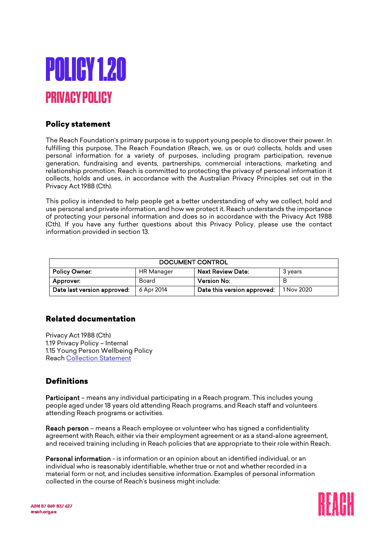

## Policy statement

The Reach Foundation's primary purpose is to support young people to discover their power. In fulfilling this purpose, The Reach Foundation (Reach, we, us or our) collects, holds and uses personal information for a variety of purposes, including program participation, revenue generation, fundraising and events, partnerships, commercial interactions, marketing and relationship promotion. Reach is committed to protecting the privacy of personal information it collects, holds and uses, in accordance with the Australian Privacy Principles set out in the Privacy Act 1988 (Cth).

This policy is intended to help people get a better understanding of why we collect, hold and use personal and private information, and how we protect it. Reach understands the importance of protecting your personal information and does so in accordance with the Privacy Act 1988 (Cth). If you have any further questions about this Privacy Policy, please use the contact information provided in section 13.

| DOCUMENT CONTROL            |            |                             |            |
|-----------------------------|------------|-----------------------------|------------|
| Policy Owner:               | HR Manager | <b>Next Review Date:</b>    | 3 years    |
| Approver:                   | Board      | <b>Version No:</b>          |            |
| Date last version approved: | 6 Apr 2014 | Date this version approved: | 1 Nov 2020 |

#### Related documentation

Privacy Act 1988 (Cth) 1.19 Privacy Policy – Internal 1.15 Young Person Wellbeing Policy Reac[h Collection Statement](http://reach.org.au/collection-statement)

## **Definitions**

Participant – means any individual participating in a Reach program. This includes young people aged under 18 years old attending Reach programs, and Reach staff and volunteers attending Reach programs or activities.

Reach person – means a Reach employee or volunteer who has signed a confidentiality agreement with Reach, either via their employment agreement or as a stand-alone agreement, and received training including in Reach policies that are appropriate to their role within Reach.

Personal information - is information or an opinion about an identified individual, or an individual who is reasonably identifiable, whether true or not and whether recorded in a material form or not, and includes sensitive information. Examples of personal information collected in the course of Reach's business might include:

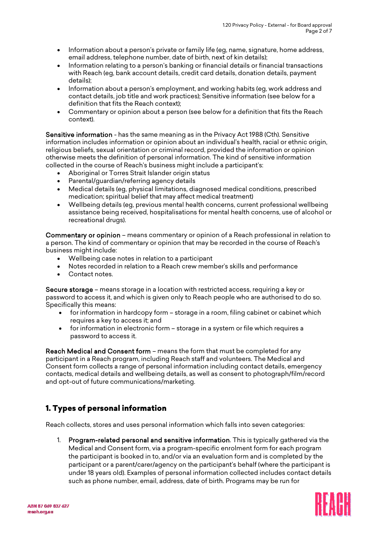- Information about a person's private or family life (eg, name, signature, home address, email address, telephone number, date of birth, next of kin details);
- Information relating to a person's banking or financial details or financial transactions with Reach (eg, bank account details, credit card details, donation details, payment details);
- Information about a person's employment, and working habits (eg, work address and contact details, job title and work practices); Sensitive information (see below for a definition that fits the Reach context);
- Commentary or opinion about a person (see below for a definition that fits the Reach context).

Sensitive information - has the same meaning as in the Privacy Act 1988 (Cth). Sensitive information includes information or opinion about an individual's health, racial or ethnic origin, religious beliefs, sexual orientation or criminal record, provided the information or opinion otherwise meets the definition of personal information. The kind of sensitive information collected in the course of Reach's business might include a participant's:

- Aboriginal or Torres Strait Islander origin status
- Parental/guardian/referring agency details
- Medical details (eg, physical limitations, diagnosed medical conditions, prescribed medication; spiritual belief that may affect medical treatment)
- Wellbeing details (eg, previous mental health concerns, current professional wellbeing assistance being received, hospitalisations for mental health concerns, use of alcohol or recreational drugs).

Commentary or opinion – means commentary or opinion of a Reach professional in relation to a person. The kind of commentary or opinion that may be recorded in the course of Reach's business might include:

- Wellbeing case notes in relation to a participant
- Notes recorded in relation to a Reach crew member's skills and performance
- Contact notes.

Secure storage – means storage in a location with restricted access, requiring a key or password to access it, and which is given only to Reach people who are authorised to do so. Specifically this means:

- for information in hardcopy form storage in a room, filing cabinet or cabinet which requires a key to access it; and
- for information in electronic form storage in a system or file which requires a password to access it.

Reach Medical and Consent form – means the form that must be completed for any participant in a Reach program, including Reach staff and volunteers. The Medical and Consent form collects a range of personal information including contact details, emergency contacts, medical details and wellbeing details, as well as consent to photograph/film/record and opt-out of future communications/marketing.

# 1. Types of personal information

Reach collects, stores and uses personal information which falls into seven categories:

1. Program-related personal and sensitive information. This is typically gathered via the Medical and Consent form, via a program-specific enrolment form for each program the participant is booked in to, and/or via an evaluation form and is completed by the participant or a parent/carer/agency on the participant's behalf (where the participant is under 18 years old). Examples of personal information collected includes contact details such as phone number, email, address, date of birth. Programs may be run for

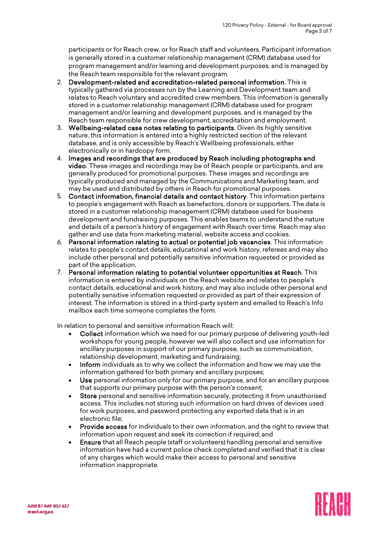participants or for Reach crew, or for Reach staff and volunteers. Participant information is generally stored in a customer relationship management (CRM) database used for program management and/or learning and development purposes, and is managed by the Reach team responsible for the relevant program.

- 2. Development-related and accreditation-related personal information. This is typically gathered via processes run by the Learning and Development team and relates to Reach voluntary and accredited crew members. This information is generally stored in a customer relationship management (CRM) database used for program management and/or learning and development purposes, and is managed by the Reach team responsible for crew development, accreditation and employment.
- 3. Wellbeing-related case notes relating to participants. Given its highly sensitive nature, this information is entered into a highly restricted section of the relevant database, and is only accessible by Reach's Wellbeing professionals, either electronically or in hardcopy form.
- 4. Images and recordings that are produced by Reach including photographs and video. These images and recordings may be of Reach people or participants, and are generally produced for promotional purposes. These images and recordings are typically produced and managed by the Communications and Marketing team, and may be used and distributed by others in Reach for promotional purposes.
- 5. Contact information, financial details and contact history. This information pertains to people's engagement with Reach as benefactors, donors or supporters. The data is stored in a customer relationship management (CRM) database used for business development and fundraising purposes. This enables teams to understand the nature and details of a person's history of engagement with Reach over time. Reach may also gather and use data from marketing material, website access and cookies.
- 6. Personal information relating to actual or potential job vacancies. This information relates to people's contact details, educational and work history, referees and may also include other personal and potentially sensitive information requested or provided as part of the application.
- 7. Personal information relating to potential volunteer opportunities at Reach. This information is entered by individuals on the Reach website and relates to people's contact details, educational and work history, and may also include other personal and potentially sensitive information requested or provided as part of their expression of interest. The information is stored in a third-party system and emailed to Reach's Info mailbox each time someone completes the form.

In relation to personal and sensitive information Reach will:

- Collect information which we need for our primary purpose of delivering youth-led workshops for young people, however we will also collect and use information for ancillary purposes in support of our primary purpose, such as communication, relationship development, marketing and fundraising;
- Inform individuals as to why we collect the information and how we may use the information gathered for both primary and ancillary purposes;
- Use personal information only for our primary purpose, and for an ancillary purpose that supports our primary purpose with the person's consent;
- Store personal and sensitive information securely, protecting it from unauthorised access. This includes not storing such information on hard drives of devices used for work purposes, and password protecting any exported data that is in an electronic file;
- Provide access for individuals to their own information, and the right to review that information upon request and seek its correction if required; and
- Ensure that all Reach people (staff or volunteers) handling personal and sensitive information have had a current police check completed and verified that it is clear of any charges which would make their access to personal and sensitive information inappropriate.

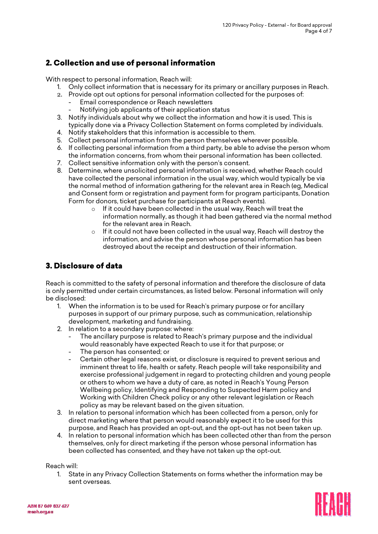## 2. Collection and use of personal information

With respect to personal information, Reach will:

- 1. Only collect information that is necessary for its primary or ancillary purposes in Reach.
- 2. Provide opt out options for personal information collected for the purposes of:
	- Email correspondence or Reach newsletters
		- Notifying job applicants of their application status
- 3. Notify individuals about why we collect the information and how it is used. This is typically done via a Privacy Collection Statement on forms completed by individuals.
- 4. Notify stakeholders that this information is accessible to them.
- 5. Collect personal information from the person themselves wherever possible.
- 6. If collecting personal information from a third party, be able to advise the person whom the information concerns, from whom their personal information has been collected.
- 7. Collect sensitive information only with the person's consent.
- 8. Determine, where unsolicited personal information is received, whether Reach could have collected the personal information in the usual way, which would typically be via the normal method of information gathering for the relevant area in Reach (eg, Medical and Consent form or registration and payment form for program participants, Donation Form for donors, ticket purchase for participants at Reach events).
	- o If it could have been collected in the usual way, Reach will treat the information normally, as though it had been gathered via the normal method for the relevant area in Reach.
	- o If it could not have been collected in the usual way, Reach will destroy the information, and advise the person whose personal information has been destroyed about the receipt and destruction of their information.

## 3. Disclosure of data

Reach is committed to the safety of personal information and therefore the disclosure of data is only permitted under certain circumstances, as listed below. Personal information will only be disclosed:

- 1. When the information is to be used for Reach's primary purpose or for ancillary purposes in support of our primary purpose, such as communication, relationship development, marketing and fundraising.
- 2. In relation to a secondary purpose: where:
	- The ancillary purpose is related to Reach's primary purpose and the individual would reasonably have expected Reach to use it for that purpose; or
	- The person has consented; or
	- Certain other legal reasons exist, or disclosure is required to prevent serious and imminent threat to life, health or safety. Reach people will take responsibility and exercise professional judgement in regard to protecting children and young people or others to whom we have a duty of care, as noted in Reach's Young Person Wellbeing policy, Identifying and Responding to Suspected Harm policy and Working with Children Check policy or any other relevant legislation or Reach policy as may be relevant based on the given situation.
- 3. In relation to personal information which has been collected from a person, only for direct marketing where that person would reasonably expect it to be used for this purpose, and Reach has provided an opt-out, and the opt-out has not been taken up.
- 4. In relation to personal information which has been collected other than from the person themselves, only for direct marketing if the person whose personal information has been collected has consented, and they have not taken up the opt-out.

Reach will:

1. State in any Privacy Collection Statements on forms whether the information may be sent overseas.

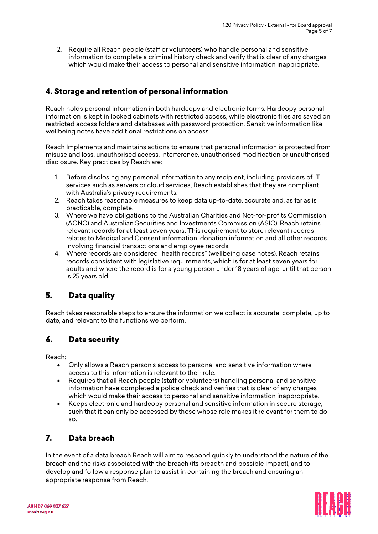2. Require all Reach people (staff or volunteers) who handle personal and sensitive information to complete a criminal history check and verify that is clear of any charges which would make their access to personal and sensitive information inappropriate.

# 4. Storage and retention of personal information

Reach holds personal information in both hardcopy and electronic forms. Hardcopy personal information is kept in locked cabinets with restricted access, while electronic files are saved on restricted access folders and databases with password protection. Sensitive information like wellbeing notes have additional restrictions on access.

Reach Implements and maintains actions to ensure that personal information is protected from misuse and loss, unauthorised access, interference, unauthorised modification or unauthorised disclosure. Key practices by Reach are:

- 1. Before disclosing any personal information to any recipient, including providers of IT services such as servers or cloud services, Reach establishes that they are compliant with Australia's privacy requirements.
- 2. Reach takes reasonable measures to keep data up-to-date, accurate and, as far as is practicable, complete.
- 3. Where we have obligations to the Australian Charities and Not-for-profits Commission (ACNC) and Australian Securities and Investments Commission (ASIC), Reach retains relevant records for at least seven years. This requirement to store relevant records relates to Medical and Consent information, donation information and all other records involving financial transactions and employee records.
- 4. Where records are considered "health records" (wellbeing case notes), Reach retains records consistent with legislative requirements, which is for at least seven years for adults and where the record is for a young person under 18 years of age, until that person is 25 years old.

## 5. Data quality

Reach takes reasonable steps to ensure the information we collect is accurate, complete, up to date, and relevant to the functions we perform.

#### 6. Data security

Reach:

- Only allows a Reach person's access to personal and sensitive information where access to this information is relevant to their role.
- Requires that all Reach people (staff or volunteers) handling personal and sensitive information have completed a police check and verifies that is clear of any charges which would make their access to personal and sensitive information inappropriate.
- Keeps electronic and hardcopy personal and sensitive information in secure storage, such that it can only be accessed by those whose role makes it relevant for them to do so.

## 7. Data breach

In the event of a data breach Reach will aim to respond quickly to understand the nature of the breach and the risks associated with the breach (its breadth and possible impact), and to develop and follow a response plan to assist in containing the breach and ensuring an appropriate response from Reach.

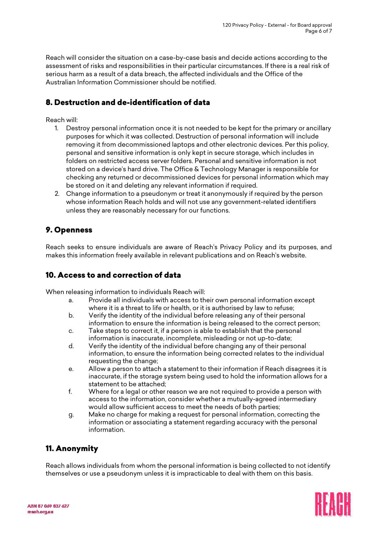Reach will consider the situation on a case-by-case basis and decide actions according to the assessment of risks and responsibilities in their particular circumstances. If there is a real risk of serious harm as a result of a data breach, the affected individuals and the Office of the Australian Information Commissioner should be notified.

# 8. Destruction and de-identification of data

#### Reach will:

- 1. Destroy personal information once it is not needed to be kept for the primary or ancillary purposes for which it was collected. Destruction of personal information will include removing it from decommissioned laptops and other electronic devices. Per this policy, personal and sensitive information is only kept in secure storage, which includes in folders on restricted access server folders. Personal and sensitive information is not stored on a device's hard drive. The Office & Technology Manager is responsible for checking any returned or decommissioned devices for personal information which may be stored on it and deleting any relevant information if required.
- 2. Change information to a pseudonym or treat it anonymously if required by the person whose information Reach holds and will not use any government-related identifiers unless they are reasonably necessary for our functions.

#### 9. Openness

Reach seeks to ensure individuals are aware of Reach's Privacy Policy and its purposes, and makes this information freely available in relevant publications and on Reach's website.

#### 10. Access to and correction of data

When releasing information to individuals Reach will:

- a. Provide all individuals with access to their own personal information except where it is a threat to life or health, or it is authorised by law to refuse;
- b. Verify the identity of the individual before releasing any of their personal information to ensure the information is being released to the correct person;
- c. Take steps to correct it, if a person is able to establish that the personal information is inaccurate, incomplete, misleading or not up-to-date;
- d. Verify the identity of the individual before changing any of their personal information, to ensure the information being corrected relates to the individual requesting the change;
- e. Allow a person to attach a statement to their information if Reach disagrees it is inaccurate, if the storage system being used to hold the information allows for a statement to be attached;
- f. Where for a legal or other reason we are not required to provide a person with access to the information, consider whether a mutually-agreed intermediary would allow sufficient access to meet the needs of both parties;
- g. Make no charge for making a request for personal information, correcting the information or associating a statement regarding accuracy with the personal information.

## 11. Anonymity

Reach allows individuals from whom the personal information is being collected to not identify themselves or use a pseudonym unless it is impracticable to deal with them on this basis.